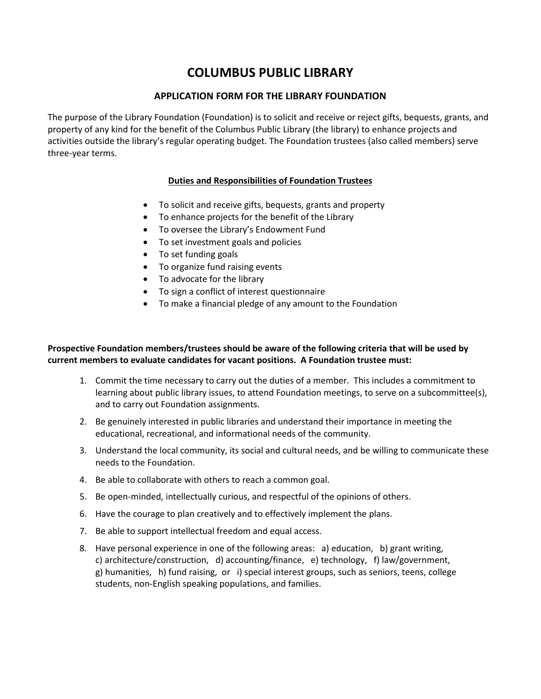# **COLUMBUS PUBLIC LIBRARY**

### **APPLICATION FORM FOR THE LIBRARY FOUNDATION**

The purpose of the Library Foundation (Foundation) is to solicit and receive or reject gifts, bequests, grants, and property of any kind for the benefit of the Columbus Public Library (the library) to enhance projects and activities outside the library's regular operating budget. The Foundation trustees (also called members) serve three-year terms.

### **Duties and Responsibilities of Foundation Trustees**

- To solicit and receive gifts, bequests, grants and property
- To enhance projects for the benefit of the Library
- To oversee the Library's Endowment Fund
- To set investment goals and policies
- To set funding goals
- To organize fund raising events
- To advocate for the library
- To sign a conflict of interest questionnaire
- To make a financial pledge of any amount to the Foundation

#### **Prospective Foundation members/trustees should be aware of the following criteria that will be used by current members to evaluate candidates for vacant positions. A Foundation trustee must:**

- 1. Commit the time necessary to carry out the duties of a member. This includes a commitment to learning about public library issues, to attend Foundation meetings, to serve on a subcommittee(s), and to carry out Foundation assignments.
- 2. Be genuinely interested in public libraries and understand their importance in meeting the educational, recreational, and informational needs of the community.
- 3. Understand the local community, its social and cultural needs, and be willing to communicate these needs to the Foundation.
- 4. Be able to collaborate with others to reach a common goal.
- 5. Be open-minded, intellectually curious, and respectful of the opinions of others.
- 6. Have the courage to plan creatively and to effectively implement the plans.
- 7. Be able to support intellectual freedom and equal access.
- 8. Have personal experience in one of the following areas: a) education, b) grant writing, c) architecture/construction, d) accounting/finance, e) technology, f) law/government, g) humanities, h) fund raising, or i) special interest groups, such as seniors, teens, college students, non-English speaking populations, and families.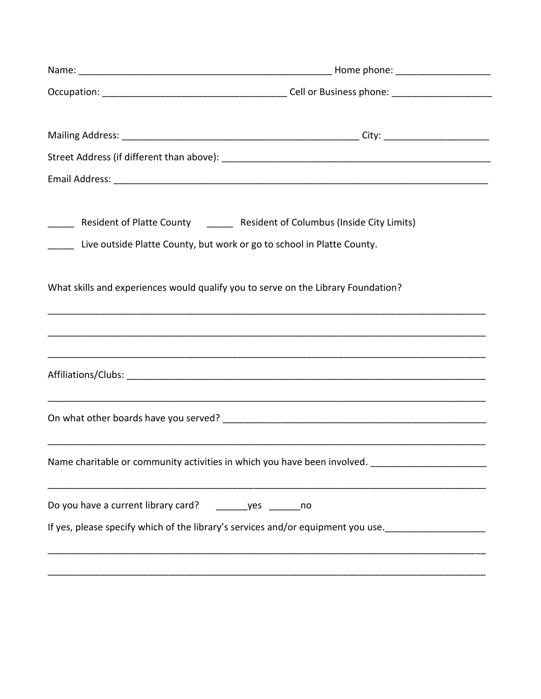| Live outside Platte County, but work or go to school in Platte County.            | Resident of Platte County ______ Resident of Columbus (Inside City Limits)                         |
|-----------------------------------------------------------------------------------|----------------------------------------------------------------------------------------------------|
| What skills and experiences would qualify you to serve on the Library Foundation? |                                                                                                    |
|                                                                                   |                                                                                                    |
|                                                                                   |                                                                                                    |
|                                                                                   | Name charitable or community activities in which you have been involved.                           |
| Do you have a current library card?                                               | yes _______ no<br>If yes, please specify which of the library's services and/or equipment you use. |
|                                                                                   |                                                                                                    |